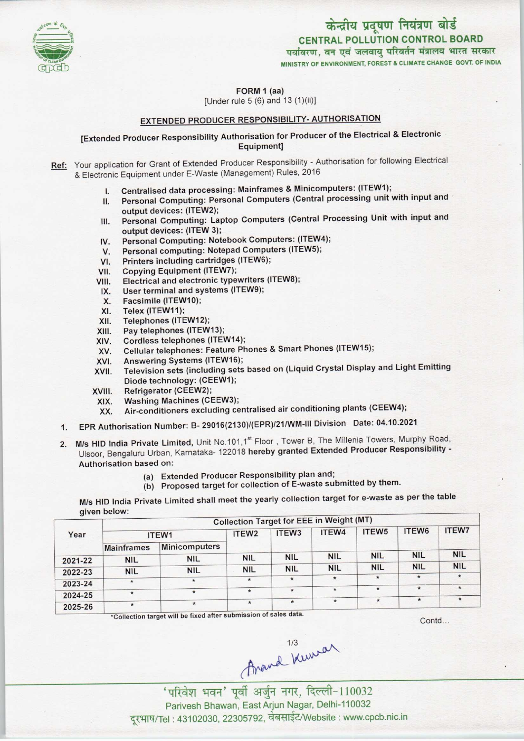

पर्यावरण, वन एवं जलवायु परिवर्तन मंत्रालय भारत सरकार MINISTRY OF ENVIRONMENT, FOREST & CLIMATE CHANGE GOVT. OF INDIA



### FORM 1 (aa)

[Under rule 5 (6) and 13(1)(ii)]

# EXTENDED PRODUCER RESPONSIBILITY- AUTHORISATION

# [Extended Producer Responsibility Authorisation for Producer ofthe Electrical & Electronic Equipment]

- Ref: Your application for Grant of Extended Producer Responsibility Authorisation for following Electrical & Electronic Equipment under E-Waste (Management) Rules, 2016
	- I. Centralised data processing: Mainframes & Minicomputers: (ITEW1);
	- II. Personal Computing: Personal Computers (Central processing unit with input and output devices: (ITEW2);
	- III. Personal Computing: Laptop Computers (Central Processing Unit with input and output devices: (ITEW 3);
	- IV. Personal Computing: Notebook Computers: (ITEW4);<br>V. Personal computing: Notepad Computers (ITEW5); output devices: (ITEW 3);<br>V. Personal Computing: Notebook Computers: (ITEW<br>V. Personal computing: Notepad Computers (ITEW5);
	- IV. Personal Computing: Notebook Comp<br>V. Personal computing: Notepad Compu<br>VI. Printers including cartridges (ITEW6);
	-
	-
	- VI. Printers including cartridges (ITEW6);<br>VII. Copying Equipment (ITEW7);<br>VIII. Electrical and electronic typewriters (I Electrical and electronic typewriters (ITEW8); /II. Copying Equipment (ITEW7);<br>III. Electrical and electronic typewriters<br>IX. User terminal and systems (ITEW9);
	- II. Electrical and electrical<br>X. User terminal and s<br>X. Facsimile (ITEW10);<br>X. Telex (ITEW11);
	-
	-
	- IX. User terminal and sy<br>X. Facsimile (ITEW10);<br>XI. Telex (ITEW11);<br>XII. Telephones (ITEW12 X. Pacsimile (ITEW10);<br>XII. Telex (ITEW11);<br>XII. Pay telephones (ITEW12);
	- XI. Telex (ITEW11);<br>XII. Telephones (ITEW12);<br>XIII. Pay telephones (ITEW13);<br>XIV. Cordless telephones (ITE
	-
	- XIII. Pay telephones (ITEW13);<br>XIV. Cordless telephones (ITEW14);<br>XV. Cellular telephones: Feature Ph XIII. Pay telephones (ITEW13);<br>KIV. Cordless telephones (ITEW14);<br>XV. Cellular telephones: Feature Phones & Smart Phones (ITEW15); XIV. Cordiess telephones (ITEW14)<br>XVI. Cellular telephones: Feature P<br>XVI. Answering Systems (ITEW16);
	-
	- XVI. Answering Systems (ITEW16);<br>XVII. Television sets (including sets based on (Liquid Crystal Display and Light Emitting Diode technology: (CEEW1);
	-
	- XVIII. Refrigerator (CEEW2);<br>XIX. Washing Machines (CEEW3);
- Diode technology: (OEEW1);<br>XIX. Refrigerator (CEEW2);<br>XIX. Air-conditioners excluding centralised air conditioning plants (CEEW4);
	- 1. KX. Air-conditioners excluding centralised air conditioning plants (CEEW4),<br>1. EPR Authorisation Number: B- 29016(2130)/(EPR)/21/WM-III Division Date: 04.10.2021
	- 2. M/s HID India Private Limited, Unit No.101,1<sup>st</sup> Floor, Tower B, The Millenia Towers, Murphy Road, Ulsoor, Bengaluru Urban, Karnataka-122018 hereby granted Extended Producer Responsibility - Authorisation based on:
		- (a)Extended Producer Responsibility plan and;
		- (b) Proposed target for collection of E-waste submitted by them.

M/s HID India Private Limited shall meet the yearly collection target for e-waste as per the table given below:

|         | <b>Collection Target for EEE in Weight (MT)</b> |                      |                   |                   |            |                   |            |              |  |  |
|---------|-------------------------------------------------|----------------------|-------------------|-------------------|------------|-------------------|------------|--------------|--|--|
| Year    | ITEW1                                           |                      | ITEW <sub>2</sub> | ITEW <sub>3</sub> | ITEW4      | ITEW <sub>5</sub> | ITEW6      | <b>ITEW7</b> |  |  |
|         | <b>Mainframes</b>                               | <b>Minicomputers</b> |                   |                   |            |                   |            |              |  |  |
| 2021-22 | <b>NIL</b>                                      | <b>NIL</b>           | <b>NIL</b>        | <b>NIL</b>        | <b>NIL</b> | <b>NIL</b>        | <b>NIL</b> | <b>NIL</b>   |  |  |
| 2022-23 | <b>NIL</b>                                      | <b>NIL</b>           | <b>NIL</b>        | <b>NIL</b>        | <b>NIL</b> | <b>NIL</b>        | <b>NIL</b> | <b>NIL</b>   |  |  |
| 2023-24 | $\star$                                         | $\star$              | $\star$           | $\star$           | $\star$    | $\star$           |            | $\star$      |  |  |
|         |                                                 | $\star$              | $\star$           | $\star$           | $\star$    | $\star$           | $\star$    | $\star$      |  |  |
| 2024-25 |                                                 | $\star$              | $\star$           | $\star$           | $\star$    |                   | $\star$    | $\star$      |  |  |
| 2025-26 | $\star$                                         |                      |                   |                   |            |                   |            |              |  |  |

\*Collection target will be fixed after submission of sales data.

Contd...

Arand Kewan

'परिवेश भवन' पूर्वी अर्जुन नगर, दिल्ली-110032 Parivesh Bhawan, EastArjun Nagar, Delhi-110032 दूरभाष/Tel : 43102030, 22305792, वेबसाईट/Website : www.cpcb.nic.in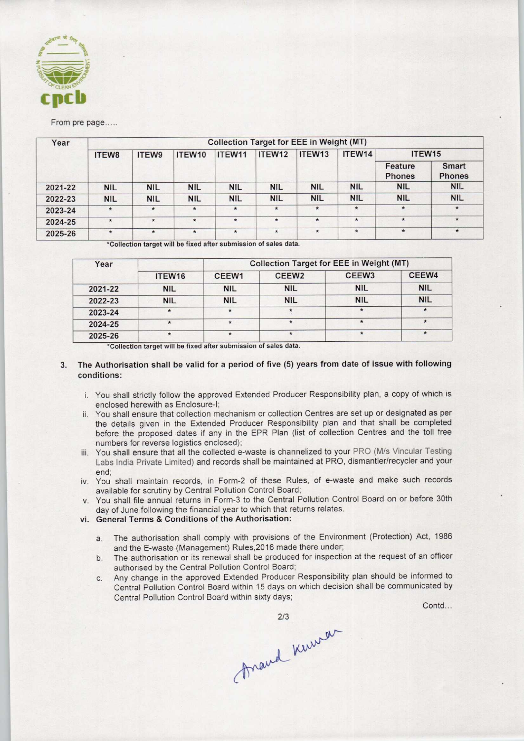

#### From pre page.....

| Year    | <b>Collection Target for EEE in Weight (MT)</b> |            |            |                    |            |                    |            |                          |                               |  |
|---------|-------------------------------------------------|------------|------------|--------------------|------------|--------------------|------------|--------------------------|-------------------------------|--|
|         | <b>ITEW8</b>                                    | ITEW9      | ITEW10     | ITEW <sub>11</sub> | ITEW12     | ITEW <sub>13</sub> | ITEW14     | ITEW <sub>15</sub>       |                               |  |
|         |                                                 |            |            |                    |            |                    |            | Feature<br><b>Phones</b> | <b>Smart</b><br><b>Phones</b> |  |
| 2021-22 | <b>NIL</b>                                      | <b>NIL</b> | <b>NIL</b> | <b>NIL</b>         | <b>NIL</b> | <b>NIL</b>         | <b>NIL</b> | <b>NIL</b>               | <b>NIL</b>                    |  |
| 2022-23 | <b>NIL</b>                                      | <b>NIL</b> | <b>NIL</b> | <b>NIL</b>         | <b>NIL</b> | <b>NIL</b>         | <b>NIL</b> | <b>NIL</b>               | <b>NIL</b>                    |  |
| 2023-24 | $\star$                                         | $\star$    | $\star$    | $\star$            | $\star$    | $\star$            | $\star$    | $\star$                  | $\star$                       |  |
| 2024-25 | $\star$                                         | $\star$    | $\star$    | $\star$            | $\star$    | $\star$            | $\star$    | $\star$                  | $\star$                       |  |
| 2025-26 | $\star$                                         | $\star$    | $\star$    | $\star$            | $\star$    | $\star$            | $\star$    | $\star$                  | $\star$                       |  |

\*Collection target will be fixed after submission of sales data.

| Year    |                    | <b>Collection Target for EEE in Weight (MT)</b> |                   |                   |            |  |  |  |
|---------|--------------------|-------------------------------------------------|-------------------|-------------------|------------|--|--|--|
|         | ITEW <sub>16</sub> | CEEW1                                           | CEEW <sub>2</sub> | CEEW <sub>3</sub> | CEEW4      |  |  |  |
| 2021-22 | <b>NIL</b>         | <b>NIL</b>                                      | <b>NIL</b>        | <b>NIL</b>        | <b>NIL</b> |  |  |  |
| 2022-23 | <b>NIL</b>         | <b>NIL</b>                                      | <b>NIL</b>        | <b>NIL</b>        | <b>NIL</b> |  |  |  |
| 2023-24 | $\star$            | $\star$                                         |                   | $\star$           | $\star$    |  |  |  |
| 2024-25 |                    | $\star$                                         | $\star$           |                   |            |  |  |  |
| 2025-26 | $\star$            | $\star$                                         | $\star$           | $\star$           | $\star$    |  |  |  |

\*Collection target will be fixed after submission of sales data.

### 3. The Authorisation shall be valid for a period of five (5) years from date of issue with following conditions:

- i. You shall strictly follow the approved Extended Producer Responsibility plan, a copy of which is enclosed herewith as Enclosure-I;
- ii. You shall ensure that collection mechanism or collection Centres are set up or designated as per the details given in the Extended Producer Responsibility plan and that shall be completed before the proposed dates if any in the EPR Plan (list of collection Centres and the toll free numbers for reverse logistics enclosed);
- iii. You shall ensure that all the collected e-waste is channelized to your PRO (M/s Vincular Testing Labs India Private Limited) and records shall be maintained at PRO, dismantler/recycler and your end;
- iv. You shall maintain records, in Form-2 of these Rules, of e-waste and make such records available for scrutiny by Central Pollution Control Board;
- v. You shall file annual returns in Form-3 to the Central Pollution Control Board on or before 30th day of June following the financial year to which that returns relates.
- vi. General Terms & Conditions of the Authorisation:
	- a.The authorisation shall comply with provisions of the Environment (Protection) Act, <sup>1986</sup> and the E-waste (Management) Rules,2016 made there under;
	- b.The authorisation or its renewal shall be produced for inspection at the request of an officer authorised by the Central Pollution Control Board;
	- c.Any change in the approved Extended Producer Responsibility plan should be informed to Central Pollution Control Board within 15 days on which decision shall be communicated by Central Pollution Control Board within sixty days;

Contd...

2/3<br>Anaud Kurran